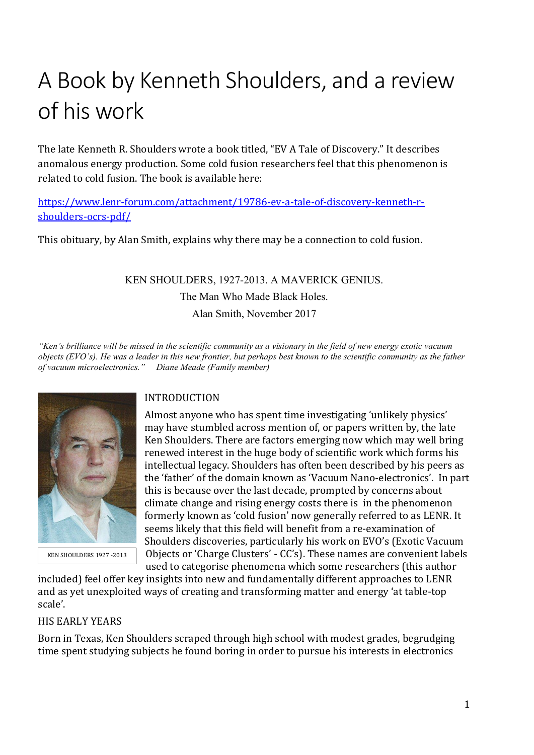# A Book by Kenneth Shoulders, and a review of his work

The late Kenneth R. Shoulders wrote a book titled, "EV A Tale of Discovery." It describes anomalous energy production. Some cold fusion researchers feel that this phenomenon is related to cold fusion. The book is available here:

[https://www.lenr-forum.com/attachment/19786-ev-a-tale-of-discovery-kenneth-r](https://www.lenr-forum.com/attachment/19786-ev-a-tale-of-discovery-kenneth-r-shoulders-ocrs-pdf/)[shoulders-ocrs-pdf/](https://www.lenr-forum.com/attachment/19786-ev-a-tale-of-discovery-kenneth-r-shoulders-ocrs-pdf/)

This obituary, by Alan Smith, explains why there may be a connection to cold fusion.

KEN SHOULDERS, 1927-2013. A MAVERICK GENIUS. The Man Who Made Black Holes.

Alan Smith, November 2017

*"Ken's brilliance will be missed in the scientific community as a visionary in the field of new energy exotic vacuum objects (EVO's). He was a leader in this new frontier, but perhaps best known to the scientific community as the father of vacuum microelectronics." Diane Meade (Family member)*



KEN SHOULDERS 1927 -2013

# INTRODUCTION

Almost anyone who has spent time investigating 'unlikely physics' may have stumbled across mention of, or papers written by, the late Ken Shoulders. There are factors emerging now which may well bring renewed interest in the huge body of scientific work which forms his intellectual legacy. Shoulders has often been described by his peers as the 'father' of the domain known as 'Vacuum Nano-electronics'. In part this is because over the last decade, prompted by concerns about climate change and rising energy costs there is in the phenomenon formerly known as 'cold fusion' now generally referred to as LENR. It seems likely that this field will benefit from a re-examination of Shoulders discoveries, particularly his work on EVO's (Exotic Vacuum Objects or 'Charge Clusters' - CC's). These names are convenient labels used to categorise phenomena which some researchers (this author

included) feel offer key insights into new and fundamentally different approaches to LENR and as yet unexploited ways of creating and transforming matter and energy 'at table-top scale'.

#### HIS EARLY YEARS

Born in Texas, Ken Shoulders scraped through high school with modest grades, begrudging time spent studying subjects he found boring in order to pursue his interests in electronics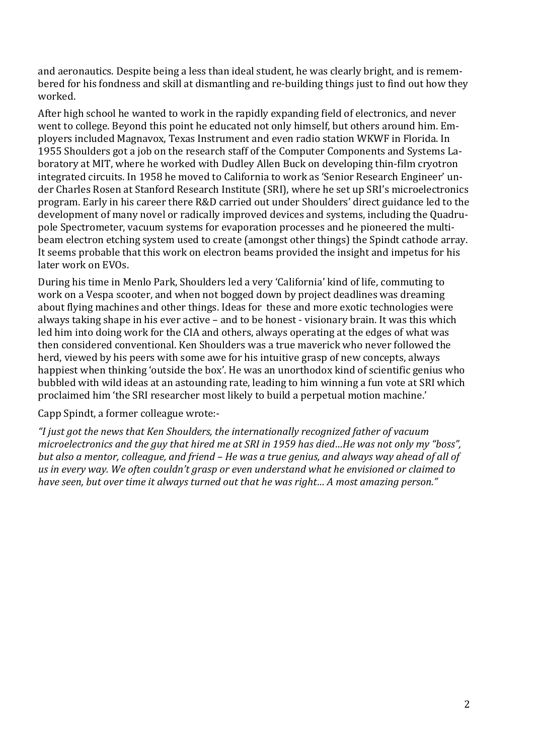and aeronautics. Despite being a less than ideal student, he was clearly bright, and is remembered for his fondness and skill at dismantling and re-building things just to find out how they worked.

After high school he wanted to work in the rapidly expanding field of electronics, and never went to college. Beyond this point he educated not only himself, but others around him. Employers included Magnavox, Texas Instrument and even radio station WKWF in Florida. In 1955 Shoulders got a job on the research staff of the Computer Components and Systems Laboratory at MIT, where he worked with Dudley Allen Buck on developing thin-film cryotron integrated circuits. In 1958 he moved to California to work as 'Senior Research Engineer' under Charles Rosen at Stanford Research Institute (SRI), where he set up SRI's microelectronics program. Early in his career there R&D carried out under Shoulders' direct guidance led to the development of many novel or radically improved devices and systems, including the Quadrupole Spectrometer, vacuum systems for evaporation processes and he pioneered the multibeam electron etching system used to create (amongst other things) the Spindt cathode array. It seems probable that this work on electron beams provided the insight and impetus for his later work on EVOs.

During his time in Menlo Park, Shoulders led a very 'California' kind of life, commuting to work on a Vespa scooter, and when not bogged down by project deadlines was dreaming about flying machines and other things. Ideas for these and more exotic technologies were always taking shape in his ever active – and to be honest - visionary brain. It was this which led him into doing work for the CIA and others, always operating at the edges of what was then considered conventional. Ken Shoulders was a true maverick who never followed the herd, viewed by his peers with some awe for his intuitive grasp of new concepts, always happiest when thinking 'outside the box'. He was an unorthodox kind of scientific genius who bubbled with wild ideas at an astounding rate, leading to him winning a fun vote at SRI which proclaimed him 'the SRI researcher most likely to build a perpetual motion machine.'

#### Capp Spindt, a former colleague wrote:-

*"I just got the news that Ken Shoulders, the internationally recognized father of vacuum microelectronics and the guy that hired me at SRI in 1959 has died…He was not only my "boss", but also a mentor, colleague, and friend – He was a true genius, and always way ahead of all of us in every way. We often couldn't grasp or even understand what he envisioned or claimed to have seen, but over time it always turned out that he was right… A most amazing person."*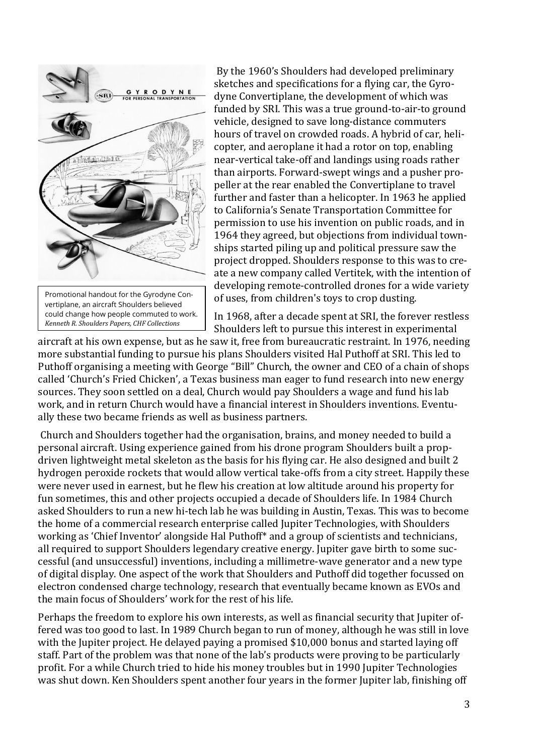

could change how people commuted to work. *Kenneth R. Shoulders Papers, CHF Collections*

copter, and aeroplane it had a rotor on top, enabling near-vertical take-off and landings using roads rather than airports. Forward-swept wings and a pusher propeller at the rear enabled the Convertiplane to travel further and faster than a helicopter. In 1963 he applied to [California's Senate](https://en.wikipedia.org/wiki/California_State_Senate) Transportation Committee for permission to use his invention on public roads, and in 1964 they agreed, but objections from individual townships started piling up and political pressure saw the project dropped. Shoulders response to this was to create a new company called Vertitek, with the intention of developing remote-controlled drones for a wide variety of uses, from children's toys to crop dusting.

By the 1960's Shoulders had developed preliminary sketches and specifications for a flying car, the Gyrodyne Convertiplane, the development of which was funded by SRI. This was a true ground-to-air-to ground vehicle, designed to save long-distance commuters hours of travel on crowded roads. A hybrid of car, heli-

In 1968, after a decade spent at SRI, the forever restless Shoulders left to pursue this interest in experimental

aircraft at his own expense, but as he saw it, free from bureaucratic restraint. In 1976, needing more substantial funding to pursue his plans Shoulders visited Hal Puthoff at SRI. This led to Puthoff organising a meeting with George "Bill" Church, the owner and CEO of a chain of shops called 'Church's Fried Chicken', a Texas business man eager to fund research into new energy sources. They soon settled on a deal, Church would pay Shoulders a wage and fund his lab work, and in return Church would have a financial interest in Shoulders inventions. Eventually these two became friends as well as business partners.

Church and Shoulders together had the organisation, brains, and money needed to build a personal aircraft. Using experience gained from his drone program Shoulders built a propdriven lightweight metal skeleton as the basis for his flying car. He also designed and built 2 hydrogen peroxide rockets that would allow vertical take-offs from a city street. Happily these were never used in earnest, but he flew his creation at low altitude around his property for fun sometimes, this and other projects occupied a decade of Shoulders life. In 1984 Church asked Shoulders to run a new hi-tech lab he was building in Austin, Texas. This was to become the home of a commercial research enterprise called Jupiter Technologies, with Shoulders working as 'Chief Inventor' alongside Hal Puthoff\* and a group of scientists and technicians, all required to support Shoulders legendary creative energy. Jupiter gave birth to some successful (and unsuccessful) inventions, including a millimetre-wave generator and a new type of digital display. One aspect of the work that Shoulders and Puthoff did together focussed on electron condensed charge technology, research that eventually became known as EVOs and the main focus of Shoulders' work for the rest of his life.

Perhaps the freedom to explore his own interests, as well as financial security that Jupiter offered was too good to last. In 1989 Church began to run of money, although he was still in love with the Jupiter project. He delayed paying a promised \$10,000 bonus and started laying off staff. Part of the problem was that none of the lab's products were proving to be particularly profit. For a while Church tried to hide his money troubles but in 1990 Jupiter Technologies was shut down. Ken Shoulders spent another four years in the former Jupiter lab, finishing off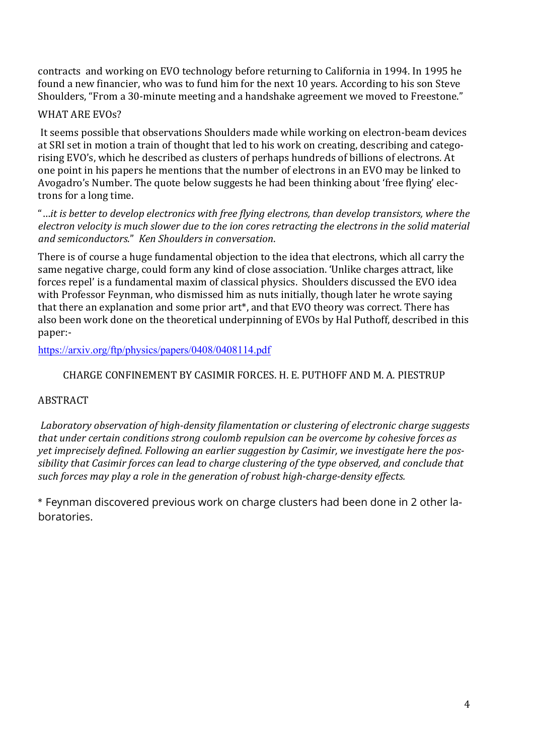contracts and working on EVO technology before returning to California in 1994. In 1995 he found a new financier, who was to fund him for the next 10 years. According to his son Steve Shoulders, "From a 30-minute meeting and a handshake agreement we moved to Freestone."

## WHAT ARE EVOs?

It seems possible that observations Shoulders made while working on electron-beam devices at SRI set in motion a train of thought that led to his work on creating, describing and categorising EVO's, which he described as clusters of perhaps hundreds of billions of electrons. At one point in his papers he mentions that the number of electrons in an EVO may be linked to Avogadro's Number. The quote below suggests he had been thinking about 'free flying' electrons for a long time.

"…*it is better to develop electronics with free flying electrons, than develop transistors, where the electron velocity is much slower due to the ion cores retracting the electrons in the solid material and semiconductors*." *Ken Shoulders in conversation*.

There is of course a huge fundamental objection to the idea that electrons, which all carry the same negative charge, could form any kind of close association. 'Unlike charges attract, like forces repel' is a fundamental maxim of classical physics. Shoulders discussed the EVO idea with Professor Feynman, who dismissed him as nuts initially, though later he wrote saying that there an explanation and some prior art\*, and that EVO theory was correct. There has also been work done on the theoretical underpinning of EVOs by Hal Puthoff, described in this paper:-

<https://arxiv.org/ftp/physics/papers/0408/0408114.pdf>

## CHARGE CONFINEMENT BY CASIMIR FORCES. H. E. PUTHOFF AND M. A. PIESTRUP

#### **ABSTRACT**

*Laboratory observation of high-density filamentation or clustering of electronic charge suggests that under certain conditions strong coulomb repulsion can be overcome by cohesive forces as yet imprecisely defined. Following an earlier suggestion by Casimir, we investigate here the possibility that Casimir forces can lead to charge clustering of the type observed, and conclude that such forces may play a role in the generation of robust high-charge-density effects.*

\* Feynman discovered previous work on charge clusters had been done in 2 other laboratories.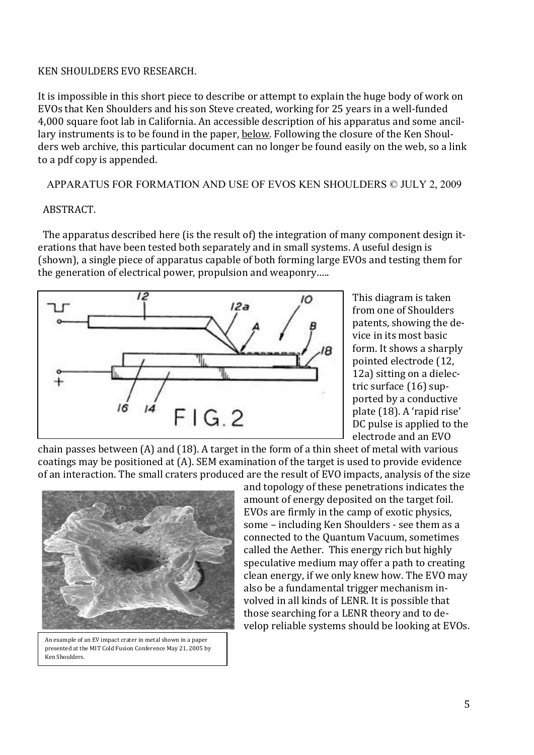#### KEN SHOULDERS EVO RESEARCH.

It is impossible in this short piece to describe or attempt to explain the huge body of work on EVOs that Ken Shoulders and his son Steve created, working for 25 years in a well-funded 4,000 square foot lab in California. An accessible description of his apparatus and some ancillary instruments is to be found in the paper, below. Following the closure of the Ken Shoulders web archive, this particular document can no longer be found easily on the web, so a link to a pdf copy is appended.

APPARATUS FOR FORMATION AND USE OF EVOS KEN SHOULDERS © JULY 2, 2009

# ABSTRACT.

 The apparatus described here (is the result of) the integration of many component design iterations that have been tested both separately and in small systems. A useful design is (shown), a single piece of apparatus capable of both forming large EVOs and testing them for the generation of electrical power, propulsion and weaponry…..



This diagram is taken from one of Shoulders patents, showing the device in its most basic form. It shows a sharply pointed electrode (12, 12a) sitting on a dielectric surface (16) supported by a conductive plate (18). A 'rapid rise' DC pulse is applied to the electrode and an EVO

chain passes between (A) and (18). A target in the form of a thin sheet of metal with various coatings may be positioned at (A). SEM examination of the target is used to provide evidence of an interaction. The small craters produced are the result of EVO impacts, analysis of the size



An example of an EV impact crater in metal shown in a paper presented at the MIT Cold Fusion Conference May 21, 2005 by Ken Shoulders.

and topology of these penetrations indicates the amount of energy deposited on the target foil. EVOs are firmly in the camp of exotic physics, some – including Ken Shoulders - see them as a connected to the Quantum Vacuum, sometimes called the Aether. This energy rich but highly speculative medium may offer a path to creating clean energy, if we only knew how. The EVO may also be a fundamental trigger mechanism involved in all kinds of LENR. It is possible that those searching for a LENR theory and to develop reliable systems should be looking at EVOs.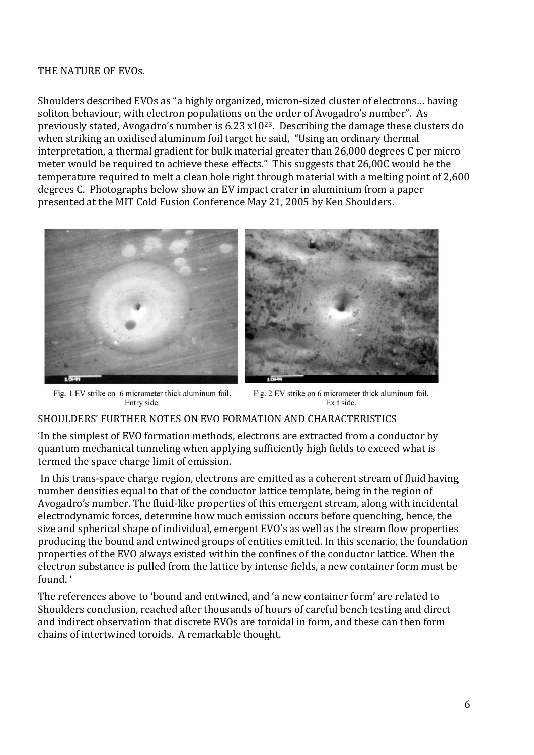#### THE NATURE OF EVOs.

Shoulders described EVOs as "a highly organized, micron-sized cluster of electrons… having soliton behaviour, with electron populations on the order of Avogadro's number". As previously stated, Avogadro's number is 6.23 x1023. Describing the damage these clusters do when striking an oxidised aluminum foil target he said, "Using an ordinary thermal interpretation, a thermal gradient for bulk material greater than 26,000 degrees C per micro meter would be required to achieve these effects." This suggests that 26,00C would be the temperature required to melt a clean hole right through material with a melting point of 2,600 degrees C. Photographs below show an EV impact crater in aluminium from a paper presented at the MIT Cold Fusion Conference May 21, 2005 by Ken Shoulders.



Fig. 1 EV strike on 6 micrometer thick aluminum foil. Entry side.

Fig. 2 EV strike on 6 micrometer thick aluminum foil. Exit side.

# SHOULDERS' FURTHER NOTES ON EVO FORMATION AND CHARACTERISTICS

'In the simplest of EVO formation methods, electrons are extracted from a conductor by quantum mechanical tunneling when applying sufficiently high fields to exceed what is termed the space charge limit of emission.

In this trans-space charge region, electrons are emitted as a coherent stream of fluid having number densities equal to that of the conductor lattice template, being in the region of Avogadro's number. The fluid-like properties of this emergent stream, along with incidental electrodynamic forces, determine how much emission occurs before quenching, hence, the size and spherical shape of individual, emergent EVO's as well as the stream flow properties producing the bound and entwined groups of entities emitted. In this scenario, the foundation properties of the EVO always existed within the confines of the conductor lattice. When the electron substance is pulled from the lattice by intense fields, a new container form must be found. '

The references above to 'bound and entwined, and 'a new container form' are related to Shoulders conclusion, reached after thousands of hours of careful bench testing and direct and indirect observation that discrete EVOs are toroidal in form, and these can then form chains of intertwined toroids. A remarkable thought.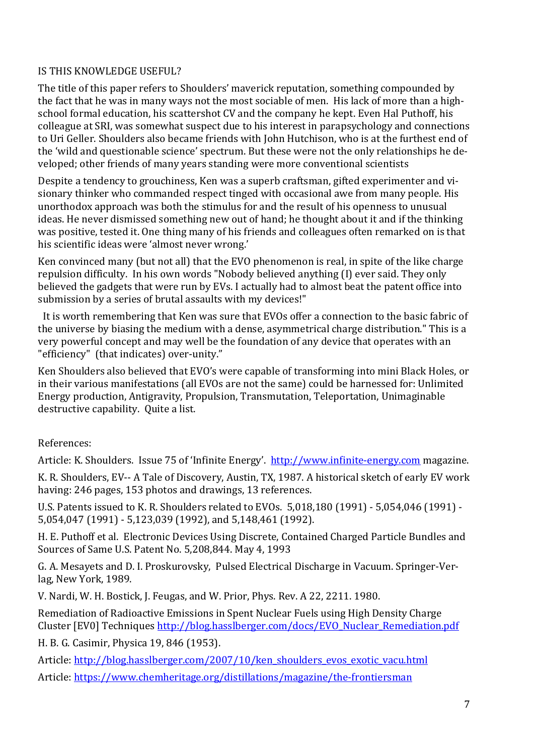# IS THIS KNOWLEDGE USEFUL?

The title of this paper refers to Shoulders' maverick reputation, something compounded by the fact that he was in many ways not the most sociable of men. His lack of more than a highschool formal education, his scattershot CV and the company he kept. Even Hal Puthoff, his colleague at SRI, was somewhat suspect due to his interest in parapsychology and connections to Uri Geller. Shoulders also became friends with John Hutchison, who is at the furthest end of the 'wild and questionable science' spectrum. But these were not the only relationships he developed; other friends of many years standing were more conventional scientists

Despite a tendency to grouchiness, Ken was a superb craftsman, gifted experimenter and visionary thinker who commanded respect tinged with occasional awe from many people. His unorthodox approach was both the stimulus for and the result of his openness to unusual ideas. He never dismissed something new out of hand; he thought about it and if the thinking was positive, tested it. One thing many of his friends and colleagues often remarked on is that his scientific ideas were 'almost never wrong.'

Ken convinced many (but not all) that the EVO phenomenon is real, in spite of the like charge repulsion difficulty. In his own words "Nobody believed anything (I) ever said. They only believed the gadgets that were run by EVs. I actually had to almost beat the patent office into submission by a series of brutal assaults with my devices!"

 It is worth remembering that Ken was sure that EVOs offer a connection to the basic fabric of the universe by biasing the medium with a dense, asymmetrical charge distribution." This is a very powerful concept and may well be the foundation of any device that operates with an "efficiency" (that indicates) over-unity."

Ken Shoulders also believed that EVO's were capable of transforming into mini Black Holes, or in their various manifestations (all EVOs are not the same) could be harnessed for: Unlimited Energy production, Antigravity, Propulsion, Transmutation, Teleportation, Unimaginable destructive capability. Quite a list.

References:

Article: K. Shoulders. Issue 75 of 'Infinite Energy'. [http://www.infinite-energy.com](http://www.infinite-energy.com/) magazine.

K. R. Shoulders, EV-- A Tale of Discovery, Austin, TX, 1987. A historical sketch of early EV work having: 246 pages, 153 photos and drawings, 13 references.

U.S. Patents issued to K. R. Shoulders related to EVOs. 5,018,180 (1991) - 5,054,046 (1991) - 5,054,047 (1991) - 5,123,039 (1992), and 5,148,461 (1992).

H. E. Puthoff et al. Electronic Devices Using Discrete, Contained Charged Particle Bundles and Sources of Same U.S. Patent No. 5,208,844. May 4, 1993

G. A. Mesayets and D. I. Proskurovsky, Pulsed Electrical Discharge in Vacuum. Springer-Verlag, New York, 1989.

V. Nardi, W. H. Bostick, J. Feugas, and W. Prior, Phys. Rev. A 22, 2211. 1980.

Remediation of Radioactive Emissions in Spent Nuclear Fuels using High Density Charge Cluster [EV0] Techniques [http://blog.hasslberger.com/docs/EVO\\_Nuclear\\_Remediation.pdf](http://blog.hasslberger.com/docs/EVO_Nuclear_Remediation.pdf)

H. B. G. Casimir, Physica 19, 846 (1953).

Article: [http://blog.hasslberger.com/2007/10/ken\\_shoulders\\_evos\\_exotic\\_vacu.html](http://blog.hasslberger.com/2007/10/ken_shoulders_evos_exotic_vacu.html) Article:<https://www.chemheritage.org/distillations/magazine/the-frontiersman>